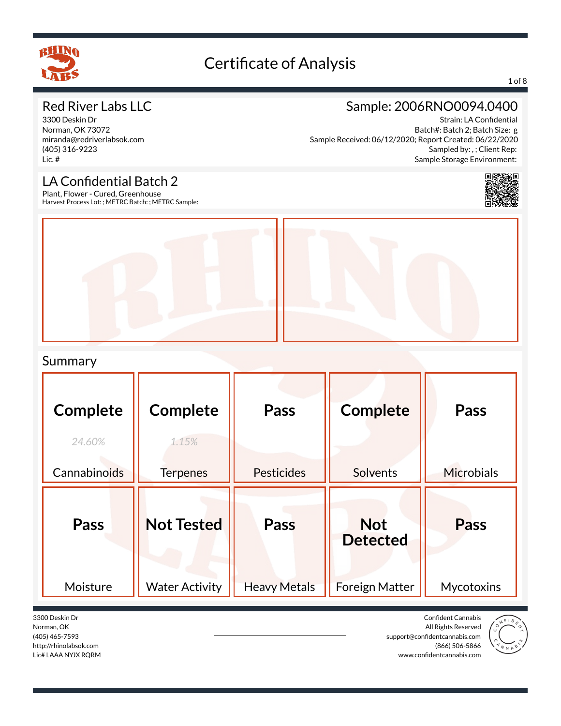

#### 1 of 8

### Red River Labs LLC

3300 Deskin Dr Norman, OK 73072 miranda@redriverlabsok.com (405) 316-9223 Lic. #

### Sample: 2006RNO0094.0400

Strain: LA Confidential Batch#: Batch 2; Batch Size: g Sample Received: 06/12/2020; Report Created: 06/22/2020 Sampled by: , ; Client Rep: Sample Storage Environment:

## LA Confidential Batch 2

Plant, Flower - Cured, Greenhouse Harvest Process Lot: ; METRC Batch: ; METRC Sample:



### Summary

| <b>Complete</b><br>24.60%<br>Cannabinoids | <b>Complete</b><br>1.15%<br><b>Terpenes</b> | Pass<br>Pesticides          | <b>Complete</b><br><b>Solvents</b>                     | <b>Pass</b><br><b>Microbials</b> |
|-------------------------------------------|---------------------------------------------|-----------------------------|--------------------------------------------------------|----------------------------------|
| Pass<br>Moisture                          | <b>Not Tested</b><br><b>Water Activity</b>  | Pass<br><b>Heavy Metals</b> | <b>Not</b><br><b>Detected</b><br><b>Foreign Matter</b> | Pass<br>Mycotoxins               |

3300 Deskin Dr Norman, OK (405) 465-7593 http://rhinolabsok.com Lic# LAAA NYJX RQRM

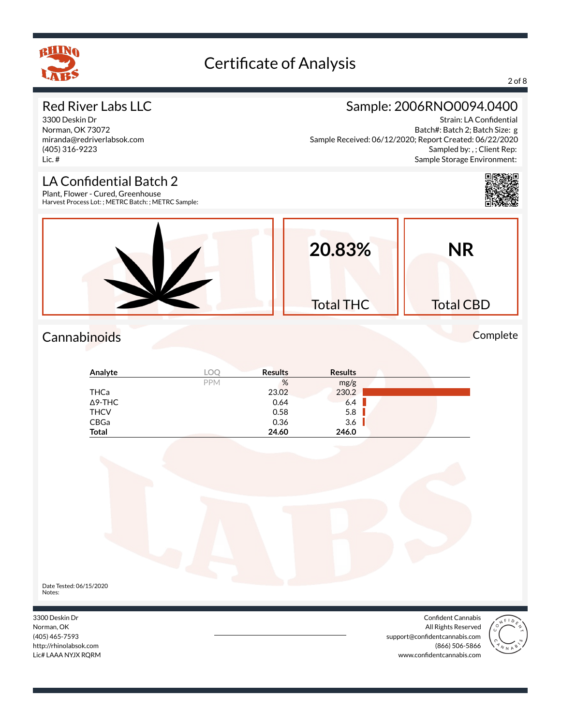

### 2 of 8

### Red River Labs LLC

3300 Deskin Dr Norman, OK 73072 miranda@redriverlabsok.com (405) 316-9223 Lic. #

### Sample: 2006RNO0094.0400

Strain: LA Confidential Batch#: Batch 2; Batch Size: g Sample Received: 06/12/2020; Report Created: 06/22/2020 Sampled by: , ; Client Rep: Sample Storage Environment:

### LA Confidential Batch 2

Plant, Flower - Cured, Greenhouse Harvest Process Lot: ; METRC Batch: ; METRC Sample:



### Cannabinoids Complete

| Analyte      | LOC        | <b>Results</b> | <b>Results</b> |  |
|--------------|------------|----------------|----------------|--|
|              | <b>PPM</b> | %              | mg/g           |  |
| THCa         |            | 23.02          | 230.2          |  |
| ∆9-THC       |            | 0.64           | 6.4            |  |
| <b>THCV</b>  |            | 0.58           | 5.8            |  |
| CBGa         |            | 0.36           | 3.6            |  |
| <b>Total</b> |            | 24.60          | 246.0          |  |



3300 Deskin Dr Norman, OK (405) 465-7593 http://rhinolabsok.com Lic# LAAA NYJX RQRM





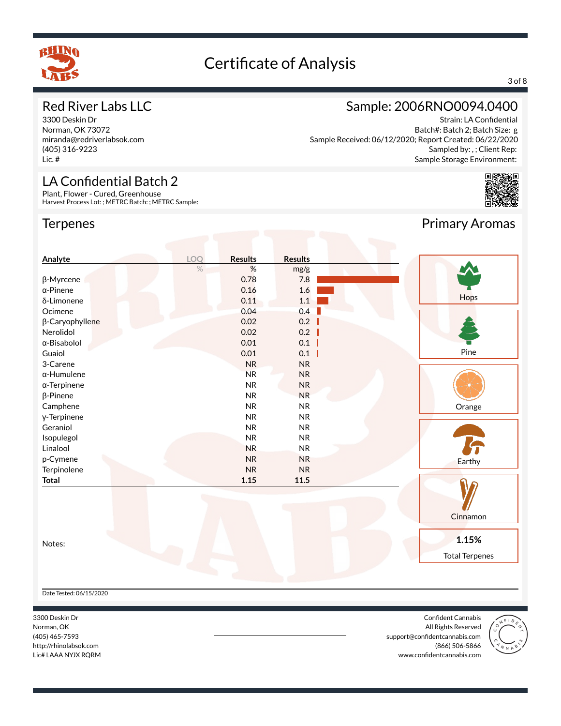

### 3 of 8

### Red River Labs LLC

3300 Deskin Dr Norman, OK 73072 miranda@redriverlabsok.com (405) 316-9223 Lic. #

### LA Confidential Batch 2

Plant, Flower - Cured, Greenhouse Harvest Process Lot: ; METRC Batch: ; METRC Sample:

### **Terpenes**

### Sample: 2006RNO0094.0400

Strain: LA Confidential Batch#: Batch 2; Batch Size: g Sample Received: 06/12/2020; Report Created: 06/22/2020 Sampled by: , ; Client Rep: Sample Storage Environment:



Primary Aromas

### **Analyte LOQ Results Results** % % mg/g β-Myrcene 0.78 7.8  $\alpha$ -Pinene 1.6 Hops  $δ$ -Limonene  $0.11$  1.1 Ocimene 0.04 0.4 β-Caryophyllene 0.02 0.2 Nerolidol 0.02 0.2 α-Bisabolol 0.01 0.1 H Pine Guaiol **0.01** 0.1 0.1 I 3-Carene NR NR NR α-Humulene NR NR NR α-Terpinene NR NR NR NR β-Pinene NR NR NR Camphene NR NR NR **Orange** γ-Terpinene NR NR NR Geraniol NR NR Isopulegol NR NR Linalool NR NR p-Cymene NR NR NR Earthy Terpinolene NR NR **Total 1.15 11.5** Cinnamon **1.15%** Notes: Total Terpenes

Date Tested: 06/15/2020

3300 Deskin Dr Norman, OK (405) 465-7593 http://rhinolabsok.com Lic# LAAA NYJX RQRM

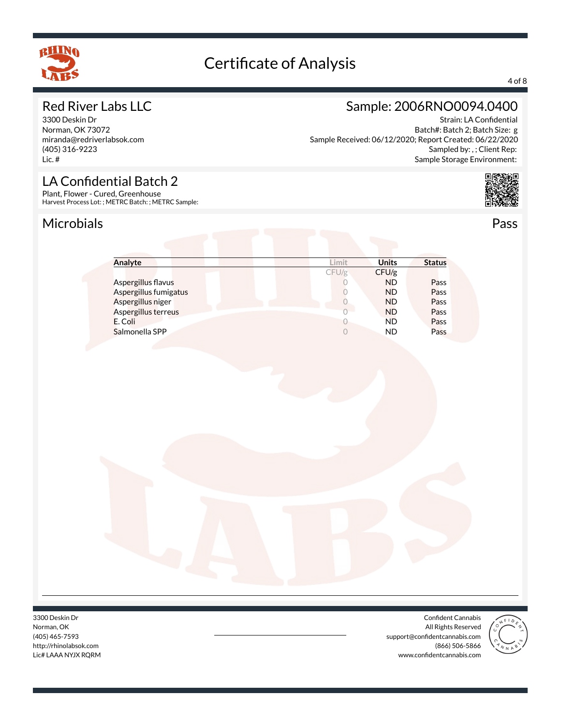

### 4 of 8

### Red River Labs LLC

3300 Deskin Dr Norman, OK 73072 miranda@redriverlabsok.com (405) 316-9223 Lic. #

### Sample: 2006RNO0094.0400

Strain: LA Confidential Batch#: Batch 2; Batch Size: g Sample Received: 06/12/2020; Report Created: 06/22/2020 Sampled by: , ; Client Rep: Sample Storage Environment:



LA Confidential Batch 2 Plant, Flower - Cured, Greenhouse

Harvest Process Lot: ; METRC Batch: ; METRC Sample:

### Microbials Pass



| Analyte               | .imit | <b>Units</b> | <b>Status</b> |
|-----------------------|-------|--------------|---------------|
|                       | CFU/g | CFU/g        |               |
| Aspergillus flavus    |       | <b>ND</b>    | Pass          |
| Aspergillus fumigatus |       | <b>ND</b>    | Pass          |
| Aspergillus niger     |       | <b>ND</b>    | Pass          |
| Aspergillus terreus   |       | <b>ND</b>    | Pass          |
| E. Coli               |       | <b>ND</b>    | Pass          |
| Salmonella SPP        |       | <b>ND</b>    | Pass          |

3300 Deskin Dr Norman, OK (405) 465-7593 http://rhinolabsok.com Lic# LAAA NYJX RQRM

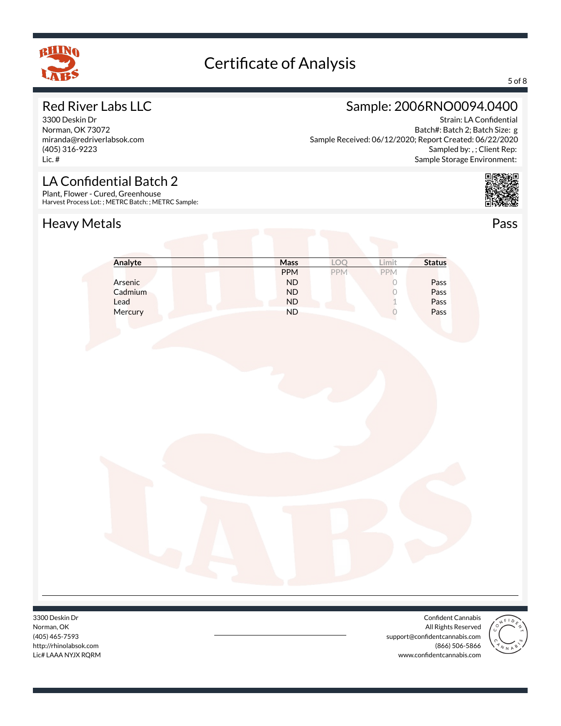

#### 5 of 8

### Red River Labs LLC

3300 Deskin Dr Norman, OK 73072 miranda@redriverlabsok.com (405) 316-9223 Lic. #

### Sample: 2006RNO0094.0400

Strain: LA Confidential Batch#: Batch 2; Batch Size: g Sample Received: 06/12/2020; Report Created: 06/22/2020 Sampled by: , ; Client Rep: Sample Storage Environment:



## LA Confidential Batch 2

Plant, Flower - Cured, Greenhouse Harvest Process Lot: ; METRC Batch: ; METRC Sample:

### Heavy Metals **Pass**

| Analyte | Mass       | LOQ | Limit          | <b>Status</b> |
|---------|------------|-----|----------------|---------------|
|         | <b>PPM</b> | PPM | PPM            |               |
| Arsenic | $\sf ND$   |     | $\Omega$       | Pass          |
| Cadmium | ${\sf ND}$ |     | $\overline{0}$ | Pass          |
| Lead    | ${\sf ND}$ |     | 1              | Pass          |
| Mercury | <b>ND</b>  |     |                | Pass          |
|         |            |     |                |               |
|         |            |     |                |               |
|         |            |     |                |               |

3300 Deskin Dr Norman, OK (405) 465-7593 http://rhinolabsok.com Lic# LAAA NYJX RQRM

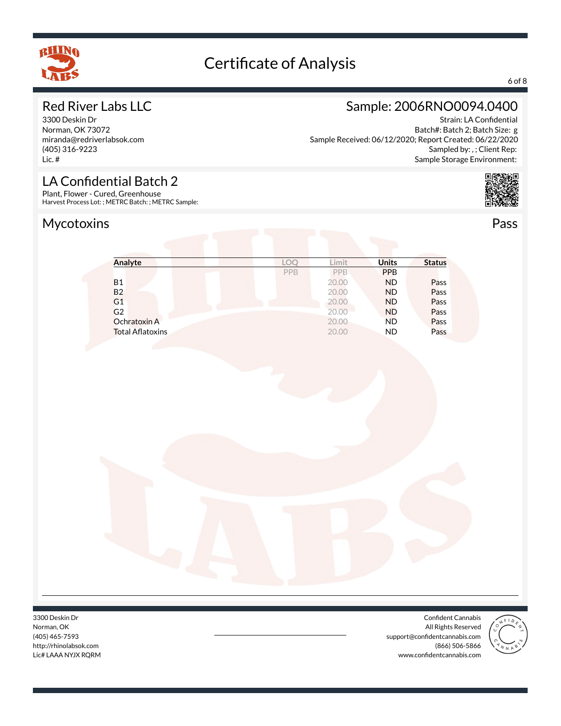

### 6 of 8

### Red River Labs LLC

3300 Deskin Dr Norman, OK 73072 miranda@redriverlabsok.com (405) 316-9223 Lic. #

## Sample: 2006RNO0094.0400

Strain: LA Confidential Batch#: Batch 2; Batch Size: g Sample Received: 06/12/2020; Report Created: 06/22/2020 Sampled by: , ; Client Rep: Sample Storage Environment:



LA Confidential Batch 2

Plant, Flower - Cured, Greenhouse Harvest Process Lot: ; METRC Batch: ; METRC Sample:



| Analyte                 | LO         | .imit | <b>Units</b> | <b>Status</b> |
|-------------------------|------------|-------|--------------|---------------|
|                         | <b>PPB</b> | PPB   | <b>PPB</b>   |               |
| <b>B1</b>               |            | 20.00 | <b>ND</b>    | Pass          |
| <b>B2</b>               |            | 20.00 | <b>ND</b>    | Pass          |
| G <sub>1</sub>          |            | 20.00 | <b>ND</b>    | Pass          |
| G <sub>2</sub>          |            | 20.00 | <b>ND</b>    | Pass          |
| Ochratoxin A            |            | 20.00 | <b>ND</b>    | Pass          |
| <b>Total Aflatoxins</b> |            | 20.00 | <b>ND</b>    | Pass          |

3300 Deskin Dr Norman, OK (405) 465-7593 http://rhinolabsok.com Lic# LAAA NYJX RQRM

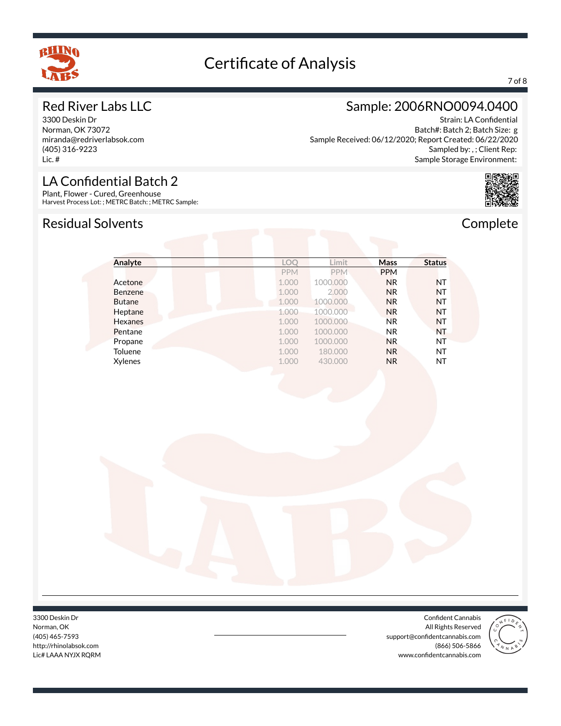

### 7 of 8

### Red River Labs LLC

3300 Deskin Dr Norman, OK 73072 miranda@redriverlabsok.com (405) 316-9223 Lic. #

### LA Confidential Batch 2

Plant, Flower - Cured, Greenhouse Harvest Process Lot: ; METRC Batch: ; METRC Sample:

### Residual Solvents **Complete**

### Sample: 2006RNO0094.0400

Strain: LA Confidential Batch#: Batch 2; Batch Size: g Sample Received: 06/12/2020; Report Created: 06/22/2020 Sampled by: , ; Client Rep: Sample Storage Environment:



| Analyte        | LOQ        | Limit      | Mass           | <b>Status</b> |
|----------------|------------|------------|----------------|---------------|
|                | <b>PPM</b> | <b>PPM</b> | <b>PPM</b>     |               |
| Acetone        | 1.000      | 1000.000   | <b>NR</b>      | <b>NT</b>     |
| Benzene        | 1.000      | 2.000      | <b>NR</b>      | <b>NT</b>     |
| <b>Butane</b>  | 1.000      | 1000.000   | <b>NR</b>      | <b>NT</b>     |
| Heptane        | 1.000      | 1000.000   | <b>NR</b>      | <b>NT</b>     |
| <b>Hexanes</b> | 1.000      | 1000.000   | <b>NR</b>      | <b>NT</b>     |
| Pentane        | 1.000      | 1000.000   | NR.            | <b>NT</b>     |
| Propane        | 1.000      | 1000.000   | <b>NR</b>      | ΝT            |
| Toluene        | 1.000      | 180.000    | N <sub>R</sub> | NT            |
| Xylenes        | 1.000      | 430.000    | <b>NR</b>      | NT            |

3300 Deskin Dr Norman, OK (405) 465-7593 http://rhinolabsok.com Lic# LAAA NYJX RQRM